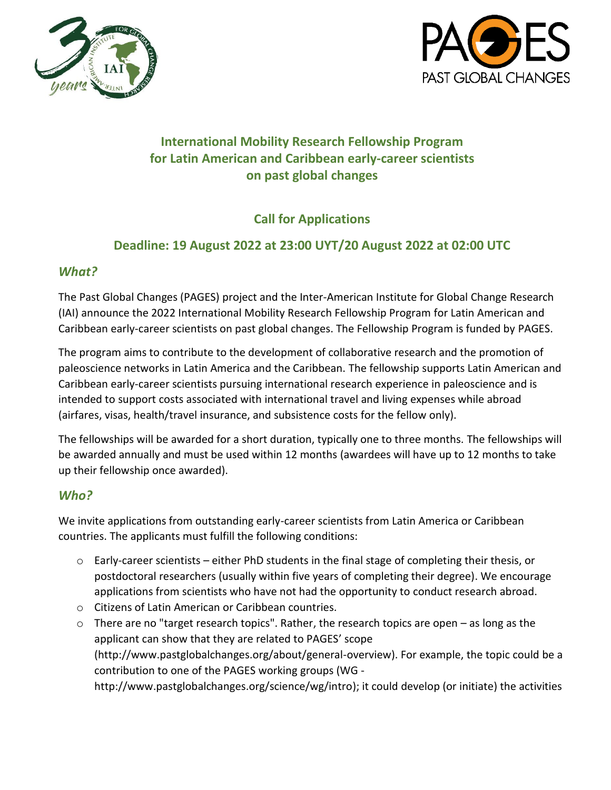



# **International Mobility Research Fellowship Program for Latin American and Caribbean early-career scientists on past global changes**

# **Call for Applications**

## **Deadline: 19 August 2022 at 23:00 UYT/20 August 2022 at 02:00 UTC**

### *What?*

The Past Global Changes (PAGES) project and the Inter-American Institute for Global Change Research (IAI) announce the 2022 International Mobility Research Fellowship Program for Latin American and Caribbean early-career scientists on past global changes. The Fellowship Program is funded by PAGES.

The program aims to contribute to the development of collaborative research and the promotion of paleoscience networks in Latin America and the Caribbean. The fellowship supports Latin American and Caribbean early-career scientists pursuing international research experience in paleoscience and is intended to support costs associated with international travel and living expenses while abroad (airfares, visas, health/travel insurance, and subsistence costs for the fellow only).

The fellowships will be awarded for a short duration, typically one to three months. The fellowships will be awarded annually and must be used within 12 months (awardees will have up to 12 months to take up their fellowship once awarded).

## *Who?*

We invite applications from outstanding early-career scientists from Latin America or Caribbean countries. The applicants must fulfill the following conditions:

- $\circ$  Early-career scientists either PhD students in the final stage of completing their thesis, or postdoctoral researchers (usually within five years of completing their degree). We encourage applications from scientists who have not had the opportunity to conduct research abroad.
- o Citizens of Latin American or Caribbean countries.
- o There are no "target research topics". Rather, the research topics are open as long as the applicant can show that they are related to PAGES' scope (http://www.pastglobalchanges.org/about/general-overview). For example, the topic could be a contribution to one of the PAGES working groups (WG -

http://www.pastglobalchanges.org/science/wg/intro); it could develop (or initiate) the activities